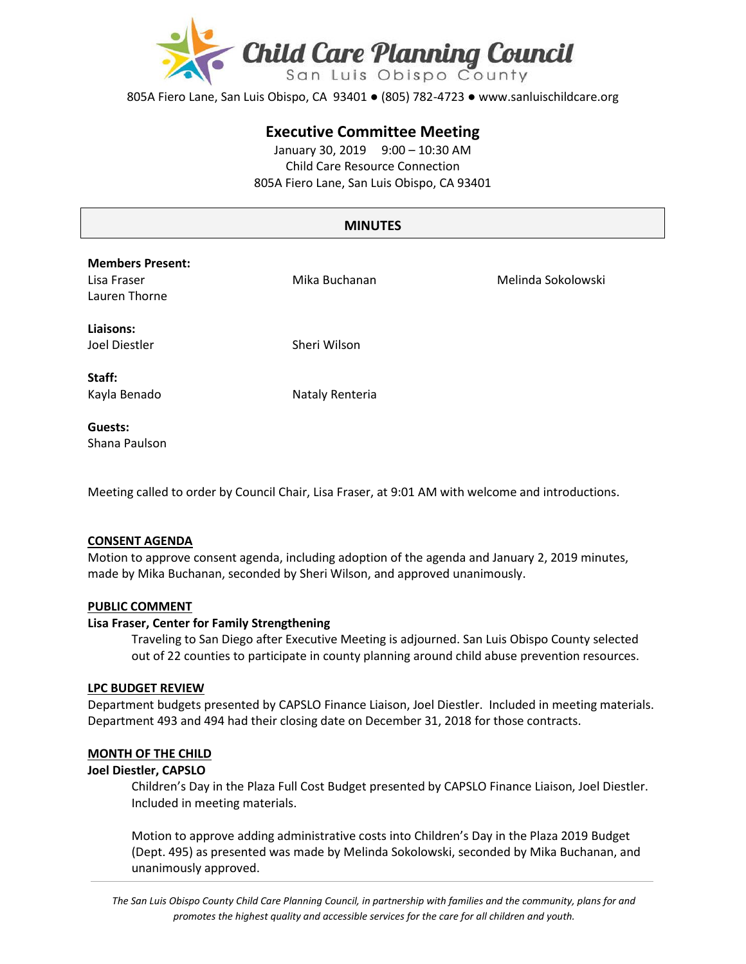

805A Fiero Lane, San Luis Obispo, CA 93401 ● (805) 782-4723 ● www.sanluischildcare.org

# **Executive Committee Meeting**

January 30, 2019 9:00 – 10:30 AM Child Care Resource Connection 805A Fiero Lane, San Luis Obispo, CA 93401

# **MINUTES**

| <b>Members Present:</b><br>Lisa Fraser<br>Lauren Thorne | Mika Buchanan   | Melinda Sokolowski |
|---------------------------------------------------------|-----------------|--------------------|
| Liaisons:<br>Joel Diestler                              | Sheri Wilson    |                    |
| Staff:<br>Kayla Benado                                  | Nataly Renteria |                    |
| Guests:                                                 |                 |                    |

Shana Paulson

Meeting called to order by Council Chair, Lisa Fraser, at 9:01 AM with welcome and introductions.

### **CONSENT AGENDA**

Motion to approve consent agenda, including adoption of the agenda and January 2, 2019 minutes, made by Mika Buchanan, seconded by Sheri Wilson, and approved unanimously.

#### **PUBLIC COMMENT**

#### **Lisa Fraser, Center for Family Strengthening**

Traveling to San Diego after Executive Meeting is adjourned. San Luis Obispo County selected out of 22 counties to participate in county planning around child abuse prevention resources.

#### **LPC BUDGET REVIEW**

Department budgets presented by CAPSLO Finance Liaison, Joel Diestler. Included in meeting materials. Department 493 and 494 had their closing date on December 31, 2018 for those contracts.

#### **MONTH OF THE CHILD**

#### **Joel Diestler, CAPSLO**

Children's Day in the Plaza Full Cost Budget presented by CAPSLO Finance Liaison, Joel Diestler. Included in meeting materials.

Motion to approve adding administrative costs into Children's Day in the Plaza 2019 Budget (Dept. 495) as presented was made by Melinda Sokolowski, seconded by Mika Buchanan, and unanimously approved.